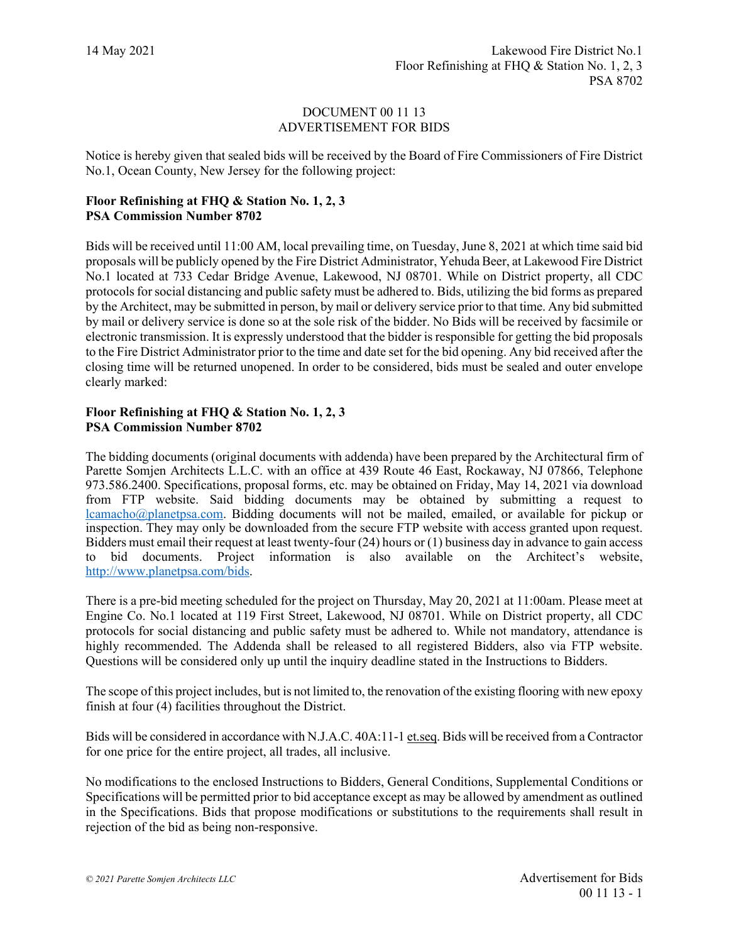## DOCUMENT 00 11 13 ADVERTISEMENT FOR BIDS

Notice is hereby given that sealed bids will be received by the Board of Fire Commissioners of Fire District No.1, Ocean County, New Jersey for the following project:

## **Floor Refinishing at FHQ & Station No. 1, 2, 3 PSA Commission Number 8702**

Bids will be received until 11:00 AM, local prevailing time, on Tuesday, June 8, 2021 at which time said bid proposals will be publicly opened by the Fire District Administrator, Yehuda Beer, at Lakewood Fire District No.1 located at 733 Cedar Bridge Avenue, Lakewood, NJ 08701. While on District property, all CDC protocols for social distancing and public safety must be adhered to. Bids, utilizing the bid forms as prepared by the Architect, may be submitted in person, by mail or delivery service prior to that time. Any bid submitted by mail or delivery service is done so at the sole risk of the bidder. No Bids will be received by facsimile or electronic transmission. It is expressly understood that the bidder is responsible for getting the bid proposals to the Fire District Administrator prior to the time and date set for the bid opening. Any bid received after the closing time will be returned unopened. In order to be considered, bids must be sealed and outer envelope clearly marked:

## **Floor Refinishing at FHQ & Station No. 1, 2, 3 PSA Commission Number 8702**

The bidding documents (original documents with addenda) have been prepared by the Architectural firm of Parette Somjen Architects L.L.C. with an office at 439 Route 46 East, Rockaway, NJ 07866, Telephone 973.586.2400. Specifications, proposal forms, etc. may be obtained on Friday, May 14, 2021 via download from FTP website. Said bidding documents may be obtained by submitting a request to [lcamacho@planetpsa.com.](mailto:lcamacho@planetpsa.com) Bidding documents will not be mailed, emailed, or available for pickup or inspection. They may only be downloaded from the secure FTP website with access granted upon request. Bidders must email their request at least twenty-four (24) hours or (1) business day in advance to gain access to bid documents. Project information is also available on the Architect's website, [http://www.planetpsa.com/bids.](http://www.planetpsa.com/bids)

There is a pre-bid meeting scheduled for the project on Thursday, May 20, 2021 at 11:00am. Please meet at Engine Co. No.1 located at 119 First Street, Lakewood, NJ 08701. While on District property, all CDC protocols for social distancing and public safety must be adhered to. While not mandatory, attendance is highly recommended. The Addenda shall be released to all registered Bidders, also via FTP website. Questions will be considered only up until the inquiry deadline stated in the Instructions to Bidders.

The scope of this project includes, but is not limited to, the renovation of the existing flooring with new epoxy finish at four (4) facilities throughout the District.

Bids will be considered in accordance with N.J.A.C. 40A:11-1 et.seq. Bids will be received from a Contractor for one price for the entire project, all trades, all inclusive.

No modifications to the enclosed Instructions to Bidders, General Conditions, Supplemental Conditions or Specifications will be permitted prior to bid acceptance except as may be allowed by amendment as outlined in the Specifications. Bids that propose modifications or substitutions to the requirements shall result in rejection of the bid as being non-responsive.